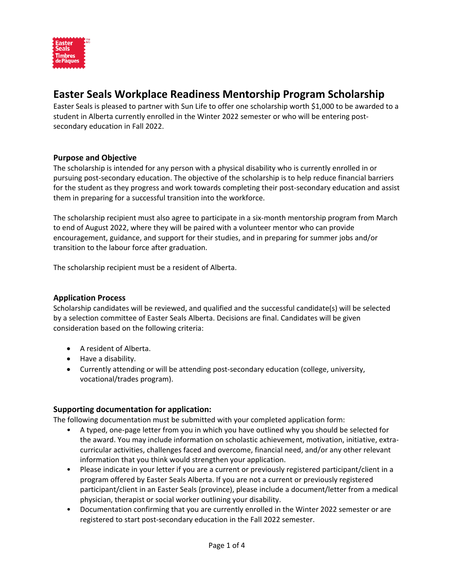

# **Easter Seals Workplace Readiness Mentorship Program Scholarship**

Easter Seals is pleased to partner with Sun Life to offer one scholarship worth \$1,000 to be awarded to a student in Alberta currently enrolled in the Winter 2022 semester or who will be entering postsecondary education in Fall 2022.

#### **Purpose and Objective**

The scholarship is intended for any person with a physical disability who is currently enrolled in or pursuing post-secondary education. The objective of the scholarship is to help reduce financial barriers for the student as they progress and work towards completing their post-secondary education and assist them in preparing for a successful transition into the workforce.

The scholarship recipient must also agree to participate in a six-month mentorship program from March to end of August 2022, where they will be paired with a volunteer mentor who can provide encouragement, guidance, and support for their studies, and in preparing for summer jobs and/or transition to the labour force after graduation.

The scholarship recipient must be a resident of Alberta.

### **Application Process**

Scholarship candidates will be reviewed, and qualified and the successful candidate(s) will be selected by a selection committee of Easter Seals Alberta. Decisions are final. Candidates will be given consideration based on the following criteria:

- A resident of Alberta.
- Have a disability.
- Currently attending or will be attending post-secondary education (college, university, vocational/trades program).

### **Supporting documentation for application:**

The following documentation must be submitted with your completed application form:

- A typed, one-page letter from you in which you have outlined why you should be selected for the award. You may include information on scholastic achievement, motivation, initiative, extracurricular activities, challenges faced and overcome, financial need, and/or any other relevant information that you think would strengthen your application.
- Please indicate in your letter if you are a current or previously registered participant/client in a program offered by Easter Seals Alberta. If you are not a current or previously registered participant/client in an Easter Seals (province), please include a document/letter from a medical physician, therapist or social worker outlining your disability.
- Documentation confirming that you are currently enrolled in the Winter 2022 semester or are registered to start post-secondary education in the Fall 2022 semester.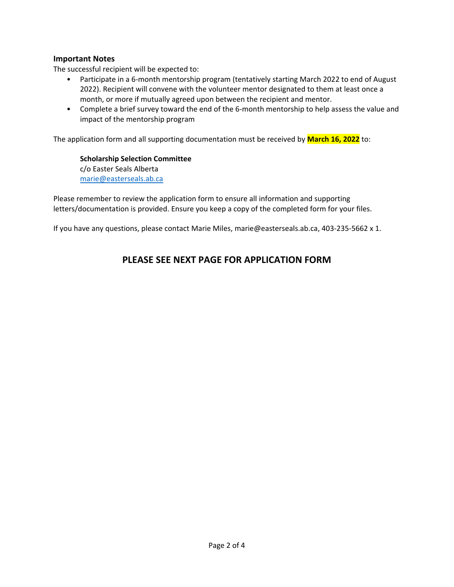### **Important Notes**

The successful recipient will be expected to:

- Participate in a 6-month mentorship program (tentatively starting March 2022 to end of August 2022). Recipient will convene with the volunteer mentor designated to them at least once a month, or more if mutually agreed upon between the recipient and mentor.
- Complete a brief survey toward the end of the 6-month mentorship to help assess the value and impact of the mentorship program

The application form and all supporting documentation must be received by **March 16, 2022** to:

**Scholarship Selection Committee**  c/o Easter Seals Alberta [marie@easterseals.ab.ca](mailto:marie@easterseals.ab.ca)

Please remember to review the application form to ensure all information and supporting letters/documentation is provided. Ensure you keep a copy of the completed form for your files.

If you have any questions, please contact Marie Miles, marie@easterseals.ab.ca, 403-235-5662 x 1.

### **PLEASE SEE NEXT PAGE FOR APPLICATION FORM**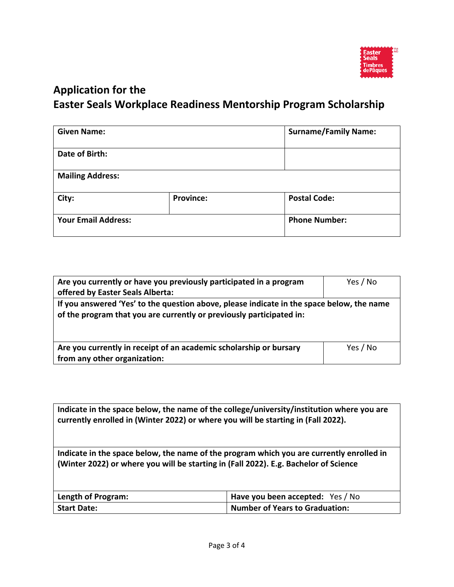

# **Application for the Easter Seals Workplace Readiness Mentorship Program Scholarship**

| <b>Given Name:</b>         |                  | <b>Surname/Family Name:</b> |
|----------------------------|------------------|-----------------------------|
| Date of Birth:             |                  |                             |
| <b>Mailing Address:</b>    |                  |                             |
| City:                      | <b>Province:</b> | <b>Postal Code:</b>         |
| <b>Your Email Address:</b> |                  | <b>Phone Number:</b>        |

| Are you currently or have you previously participated in a program<br>offered by Easter Seals Alberta:                                                            | Yes / No |  |
|-------------------------------------------------------------------------------------------------------------------------------------------------------------------|----------|--|
| If you answered 'Yes' to the question above, please indicate in the space below, the name<br>of the program that you are currently or previously participated in: |          |  |
| Are you currently in receipt of an academic scholarship or bursary<br>from any other organization:                                                                | Yes / No |  |

**Indicate in the space below, the name of the college/university/institution where you are currently enrolled in (Winter 2022) or where you will be starting in (Fall 2022).**

**Indicate in the space below, the name of the program which you are currently enrolled in (Winter 2022) or where you will be starting in (Fall 2022). E.g. Bachelor of Science**

| Length of Program: | Have you been accepted: Yes / No |
|--------------------|----------------------------------|
| <b>Start Date:</b> | Number of Years to Graduation:   |